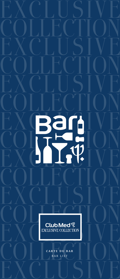Club Med ? EXCLUSIVE COLLECTION

Ban<br>Joseph

**CARTE DU BAR** BAR LIST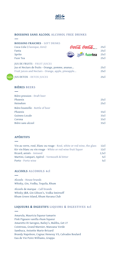

## **BOISSONS SANS ALCOOL ALCOHOL FREE DRINKS**

| <b>BOISSONS FRAICHES - SOFT DRINKS</b><br>Coca-Cola (Classique, Zero)<br>Fanta<br>Sprite<br>Fuze Tea                                                                              | TID | Coca Cola Coca Cola<br><b>Spile</b> fuzetea | 25c<br>25c<br>25c1<br>25c |
|-----------------------------------------------------------------------------------------------------------------------------------------------------------------------------------|-----|---------------------------------------------|---------------------------|
| <b>JUS DE FRUITS - FRUIT JUICES</b><br>Jus et Nectars de fruits - Orange, pomme, ananas<br>Fruit juices and Nectars - Orange, apple, pineapple<br><b>JUS DETOX - DETOX JUICES</b> |     |                                             | 25c<br>25c<br>25c         |

## **BIÈRES BEERS**

 $heath$ 

| Bière pression - Draft beer<br>Phoenix<br>Heineken | 25c<br>25c |
|----------------------------------------------------|------------|
| Bière bouteille - Bottle of beer                   |            |
| Phoenix                                            | 33c1       |
| Guiness Locale                                     | 33c1       |
| Corona                                             | 33c1       |
| Bière sans alcool                                  | 33c1       |
|                                                    |            |

## **APÉRITIFS**

| 12c   |
|-------|
| 12c   |
| 2.5cl |
| 5c    |
| 5c    |
|       |

## **ALCOOLS ALCOHOLS 4cl**

Alcools - House brands Whisky, Gin, Vodka, Tequila, Rhum

Alcools de marque - Call brands Whisky J&B, Gin Gibson's, Vodka Smirnoff Rhum Green Island, Rhum Havana Club

# **LIQUEURS & DIGESTIFS LIQUORS & DIGESTIVES 4cl**

Amarula, Mauricia liqueur tamarin Pink Pigeaon vanilla rhum liqueur Amaretto Di Sarogno, Bailey's, Malibu, Get 27 Cointreau, Grand Marnier, Manzana Verde Sambuca, Anisette Marie-Brizard Brandy Napoleon, Cognac Henessy VS, Calvados Boulard Eau de Vie Poire Williams, Grappa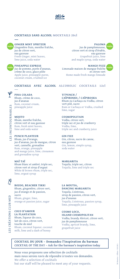

## **COCKTAILS SANS ALCOOL MOCKTAILS 20cl**



**GINGER MINT SPRITZER** Gingembre frais, menthe fraîche, jus de citron vert, eau gazeuse Fresh Ginger, mint leaves, lime juice, soda water

**PINEAPPLE EXPRESS** Jus de pomme, purée d'ananas, crème de coco, glace pilée Apple juice, pineapple puree, coconut cream, crushed ice

**PALOMA**  Jus de pamplemousse, citron vert et sirop d'érable, eau gazeuse Grapefruit juice, lime and maple syrup, soda water

**MANGO FUZZ**  Limonade maison de mangue fraîche et citron vert Home made fresh mango limeade

# **COCKTAILS AVEC ALCOOL ALCOHOLIC COCKTAILS 12cl**



**PINA COLADA**  Rhum, crème de coco, jus d'ananas Rum, coconut cream, pineapple juice

**MOJITO**  Rhum, menthe fraîche, citron vert et eau gazeuse Rum, fresh mint leaves, lime and soda water

**PUNCH PLANTEUR**  Rhum, jus d'orange, jus d'ananas, jus de mangue, citron vert, cannelle, grenadine Rum, orange, pineapple and mango juice, lime, cinnamon and grenadine syrup

**MAÏ TAÏ**  Rhum blanc et ambré, triple sec, citron vert et sirop d'orgeat White & brown rhum, triple sec, lime, orgeat syrup

**BOZOO, BEACHER TIKKI**  Rhum, gingembre, citron vert, jus d'orange et de passion, sucre Rhum, ginger, lime, orange et passion juice, sugar

**COCO D'AMOUR LA PLANTATION** Rhum, liqueur de coco, lait de coco, citron vert, touche de miel Rhum, coconut liqueur, coconut milk, lime and a dash of honey

**TI'PUNCH / CAÏPIRINHA / CAÏPIROSKA**  Rhum ou Cachaça ou Vodka, citron vert pilé, sucre Rum or Cachaça or Vodka, crushed lime, sugar

## **COSMOPOLITAIN**

Vodka, citron vert, triple sec et jus de cranberry Vodka, lime, triple sec and cranberry juice

**GIN FIZZ**  Gin, citron, sucre de canne, eau gazeuse Gin, lemon, simple syrup, soda water

**MARGARITA**  Tequila, triple sec, citron Tequila, lime and triple sec

**LA MOUTIA, DANCING MARGARITA** Tequila, Cointreau, sirop de passion, citron vert, jus d'ananas Tequila, Cointreau, passion syrup, lime, pineapple juice

**COSMO LOCO, ISLAND COSMOPOLITAN**  Vodka, brandy Abricot, citron vert, jus de pamplemousse Vodka, apricot brandy, lime, grapefruit juice

**COCKTAIL DU JOUR – Demandez l'inspiration du barman COCKTAIL OF THE DAY – Ask for the barman's inspiration today** 

Nous vous proposons une sélection de cocktails mais nous serons ravis de répondre à toutes vos demandes. We offer a selection of cocktails but our staff will be pleased to meet any of your requests.



 $\beta$ 

.ES CRÉATIONS CLUB MED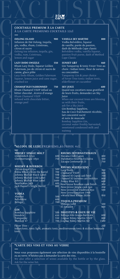## **COCKTAILS PREMIUM À LA CARTE À LA CARTE PREMIUMS COCKTAILS 12cl**

**OOLONG ISLAND 900**  Infusion de thé Oolong, tequila, gin, vodka, rhum, Cointreau, citron et sucre Oolong tea infusion, tequila, gin, lemon and sugar

**LAZY DODO SWIZZLE 550** Rhum Lazy Dodo, liqueur Golden Falernum, jus de citron et sucre de canne, glace pilée Lazy Dodo Rhum, Golden Falernum liqueur, lemon juice and cane sugar, crushed ice

**CHAMAR'OLD FASHIONNED 750** Rhum Chamarel VSOP infusé au bitter chocolat , écorce d'orange Rhum Chamarel VSOP infused with chocolate bitter, orange peel

#### **VANILLA SKY MARTINI 800**

Vodka Belvédère, liqueur de vanille, purée de passion, dash de Méthode Cape classic Belvédère vodka, vanilla liqueur, passion fruit puree, dash of Method Cape Classic

#### **SUNSET G&T 460**

<u>àla</u> V

Gin Tanqueray & tonic Fever Tree au choix : Indian tonic, fleur de sureau ou concombre

Tanqueray Gin & your choice of Fever Tree tonic: Indian tonic, elderflower or cucumber

#### **SKY JUICE** 600

Quand nos cocotiers nous gratifient de leurs fruits, demandez un Sky Juice

When our coconut trees are blessing us with their fruits,

#### ask for a Sky Juice Gin Bombay Sapphire, Eau de Coco fraîchement récoltée, lait concentré sucré et noix de muscade

Bombay Sapphire Gin, coconut water freshly harvested, sweetened condensed milk and nutmeg

## **\*ALCOOL DE LUXE PREMIUMS ALCOHOL 4cl**

| WHISKY SINGLE MALT           |      | <b>RHUMS INTERNATIONAUX</b>               |      |
|------------------------------|------|-------------------------------------------|------|
| Glenfiddich 12yo             |      | 600 Havana Club 7 anos                    | 400  |
| Glenmorrangie 10yo           | 750  | Diplomatico Reserva Exclusiva             | 500  |
|                              |      | Zacapa Centenario 23                      | 750  |
|                              |      |                                           |      |
| <b>WHISKY &amp; BOURBON</b>  |      | <b>RHUMS MAURICIENS</b>                   |      |
| Chivas Regal 12yo            | 500  | Lazy Dodo                                 | 350  |
| Nikka Whisky from the Barrel | 700  | Chamarel VSOP                             | 400  |
| Johnny Walker Black Label    | 550  | Chamarel XO Cognac cask finish            | 700  |
| Johnny Walker Gold Label     |      | 700 Chamarel XO Sauternes cask finish 8yo |      |
| Johnny Walker Blue Label     | 1600 |                                           | 800  |
| Gentleman Jack               | 600  | Penny Blue XO                             | 600  |
| Jack Daniel's Single Barrel  | 800  | New Grove Bourbon cask finish             | 300  |
|                              |      | New Grove Single cask 5yo                 | 450  |
|                              |      | New Grove old tradition 8yo               | 500  |
| <b>VODKA</b>                 |      | New Grove Emotion 1969                    |      |
| Absolut                      | 500  | «World Best Rhum 2020»                    | 950  |
| Belvédère                    | 600  |                                           |      |
| Beluga                       | 700  | <b>TEQUILA PREMIUM</b>                    |      |
|                              |      | Olmega Gold                               | 500  |
|                              |      | El Jimador                                | 600  |
| <b>GIN</b>                   |      |                                           |      |
| Bombay Sapphire              |      | 500 DIGESTIFS & EAUX DE VIE               |      |
| Hendrix                      | 650  | Bottega Aldo Grappa Barricata             | 600  |
| Tanqueray                    | 550  | Cognac Rémy Martin VSOP                   | 800  |
| Monkey 47                    |      | 700 Cognac Rémy Martin XO                 | 1500 |
|                              |      |                                           |      |

Fever Tree : 200 Indian tonic, tonic light, aromatic tonic, mediterranean tonic & sicilian lemonade tonic

# **\*CARTE DES VINS ET VINS AU VERRE**

Nous vous proposons également une sélection de vins disponibles à la bouteille ou au verre. N'hésitez pas à demander la carte des vins. We also offer a selection of wines available by the bottle or by the glass. Ask for the wine list.